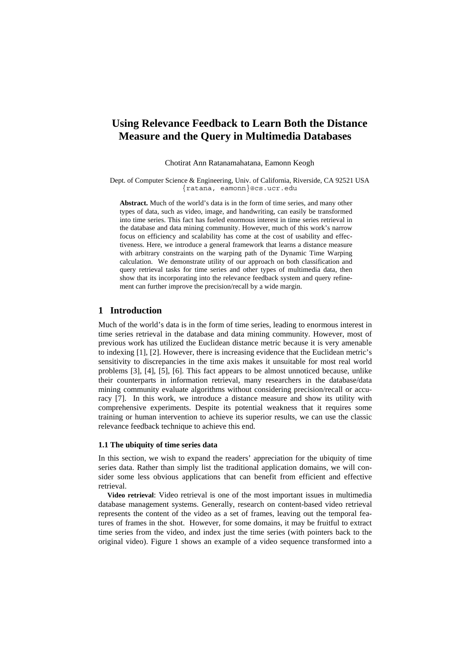# **Using Relevance Feedback to Learn Both the Distance Measure and the Query in Multimedia Databases**

Chotirat Ann Ratanamahatana, Eamonn Keogh

Dept. of Computer Science & Engineering, Univ. of California, Riverside, CA 92521 USA {ratana, eamonn}@cs.ucr.edu

**Abstract.** Much of the world's data is in the form of time series, and many other types of data, such as video, image, and handwriting, can easily be transformed into time series. This fact has fueled enormous interest in time series retrieval in the database and data mining community. However, much of this work's narrow focus on efficiency and scalability has come at the cost of usability and effectiveness. Here, we introduce a general framework that learns a distance measure with arbitrary constraints on the warping path of the Dynamic Time Warping calculation. We demonstrate utility of our approach on both classification and query retrieval tasks for time series and other types of multimedia data, then show that its incorporating into the relevance feedback system and query refinement can further improve the precision/recall by a wide margin.

## **1 Introduction**

Much of the world's data is in the form of time series, leading to enormous interest in time series retrieval in the database and data mining community. However, most of previous work has utilized the Euclidean distance metric because it is very amenable to indexing [\[1\]](#page-6-0), [\[2\]](#page-6-1). However, there is increasing evidence that the Euclidean metric's sensitivity to discrepancies in the time axis makes it unsuitable for most real world problems [\[3\]](#page-6-2), [\[4\]](#page-6-3), [\[5\]](#page-6-4), [[6\]](#page-6-5). This fact appears to be almost unnoticed because, unlike their counterparts in information retrieval, many researchers in the database/data mining community evaluate algorithms without considering precision/recall or accuracy [\[7\]](#page-6-6). In this work, we introduce a distance measure and show its utility with comprehensive experiments. Despite its potential weakness that it requires some training or human intervention to achieve its superior results, we can use the classic relevance feedback technique to achieve this end.

#### **1.1 The ubiquity of time series data**

In this section, we wish to expand the readers' appreciation for the ubiquity of time series data. Rather than simply list the traditional application domains, we will consider some less obvious applications that can benefit from efficient and effective retrieval.

**Video retrieval**: Video retrieval is one of the most important issues in multimedia database management systems. Generally, research on content-based video retrieval represents the content of the video as a set of frames, leaving out the temporal features of frames in the shot. However, for some domains, it may be fruitful to extract time series from the video, and index just the time series (with pointers back to the original video). [Figure 1](#page-1-0) shows an example of a video sequence transformed into a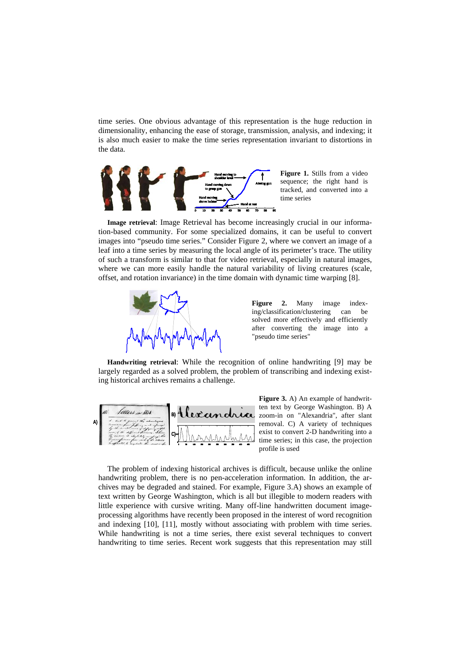time series. One obvious advantage of this representation is the huge reduction in dimensionality, enhancing the ease of storage, transmission, analysis, and indexing; it is also much easier to make the time series representation invariant to distortions in the data.



<span id="page-1-0"></span>**Figure 1.** Stills from a video sequence; the right hand is tracked, and converted into a time series

**Image retrieval**: Image Retrieval has become increasingly crucial in our information-based community. For some specialized domains, it can be useful to convert images into "pseudo time series." Consider [Figure 2,](#page-1-1) where we convert an image of a leaf into a time series by measuring the local angle of its perimeter's trace. The utility of such a transform is similar to that for video retrieval, especially in natural images, where we can more easily handle the natural variability of living creatures (scale, offset, and rotation invariance) in the time domain with dynamic time warping [\[8\]](#page-6-7).



<span id="page-1-1"></span>**Figure 2.** Many image indexing/classification/clustering can be solved more effectively and efficiently after converting the image into a "pseudo time series"

**Handwriting retrieval**: While the recognition of online handwriting [\[9\]](#page-6-8) may be largely regarded as a solved problem, the problem of transcribing and indexing existing historical archives remains a challenge.



<span id="page-1-2"></span>**Figure 3.** A) An example of handwritten text by George Washington. B) A zoom-in on "Alexandria", after slant removal. C) A variety of techniques exist to convert 2-D handwriting into a time series; in this case, the projection profile is used

The problem of indexing historical archives is difficult, because unlike the online handwriting problem, there is no pen-acceleration information. In addition, the archives may be degraded and stained. For example, [Figure 3.](#page-1-2)A) shows an example of text written by George Washington, which is all but illegible to modern readers with little experience with cursive writing. Many off-line handwritten document imageprocessing algorithms have recently been proposed in the interest of word recognition and indexing [\[10\]](#page-6-9), [\[11\]](#page-6-10), mostly without associating with problem with time series. While handwriting is not a time series, there exist several techniques to convert handwriting to time series. Recent work suggests that this representation may still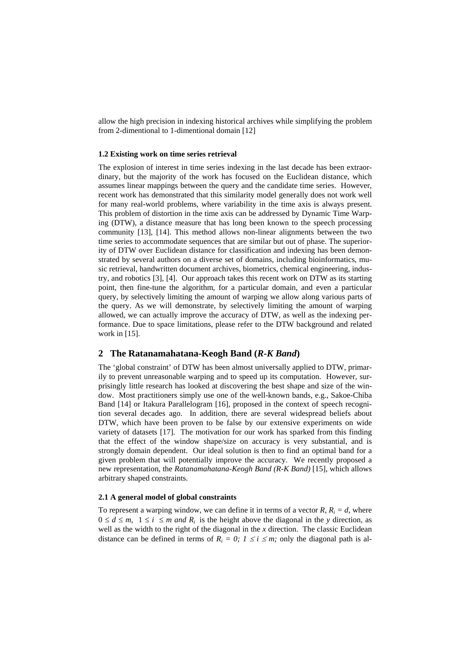allow the high precision in indexing historical archives while simplifying the problem from 2-dimentional to 1-dimentional domain [\[12\]](#page-6-11)

#### **1.2 Existing work on time series retrieval**

The explosion of interest in time series indexing in the last decade has been extraordinary, but the majority of the work has focused on the Euclidean distance, which assumes linear mappings between the query and the candidate time series. However, recent work has demonstrated that this similarity model generally does not work well for many real-world problems, where variability in the time axis is always present. This problem of distortion in the time axis can be addressed by Dynamic Time Warping (DTW), a distance measure that has long been known to the speech processing community [\[13\]](#page-6-12), [\[14\]](#page-6-13). This method allows non-linear alignments between the two time series to accommodate sequences that are similar but out of phase. The superiority of DTW over Euclidean distance for classification and indexing has been demonstrated by several authors on a diverse set of domains, including bioinformatics, music retrieval, handwritten document archives, biometrics, chemical engineering, industry, and robotics [\[3\]](#page-6-2), [\[4\]](#page-6-3). Our approach takes this recent work on DTW as its starting point, then fine-tune the algorithm, for a particular domain, and even a particular query, by selectively limiting the amount of warping we allow along various parts of the query. As we will demonstrate, by selectively limiting the amount of warping allowed, we can actually improve the accuracy of DTW, as well as the indexing performance. Due to space limitations, please refer to the DTW background and related work in [\[15\]](#page-6-14).

## **2 The Ratanamahatana-Keogh Band (***R-K Band***)**

The 'global constraint' of DTW has been almost universally applied to DTW, primarily to prevent unreasonable warping and to speed up its computation. However, surprisingly little research has looked at discovering the best shape and size of the window. Most practitioners simply use one of the well-known bands, e.g., Sakoe-Chiba Band [\[14\]](#page-6-13) or Itakura Parallelogram [\[16\]](#page-6-15), proposed in the context of speech recognition several decades ago. In addition, there are several widespread beliefs about DTW, which have been proven to be false by our extensive experiments on wide variety of datasets [\[17\]](#page-6-16). The motivation for our work has sparked from this finding that the effect of the window shape/size on accuracy is very substantial, and is strongly domain dependent. Our ideal solution is then to find an optimal band for a given problem that will potentially improve the accuracy. We recently proposed a new representation, the *Ratanamahatana-Keogh Band (R-K Band)* [[15\]](#page-6-14), which allows arbitrary shaped constraints.

### **2.1 A general model of global constraints**

To represent a warping window, we can define it in terms of a vector  $R$ ,  $R<sub>i</sub> = d$ , where  $0 \le d \le m$ ,  $1 \le i \le m$  *and*  $R_i$  is the height above the diagonal in the *y* direction, as well as the width to the right of the diagonal in the *x* direction. The classic Euclidean distance can be defined in terms of  $R_i = 0$ ;  $1 \le i \le m$ ; only the diagonal path is al-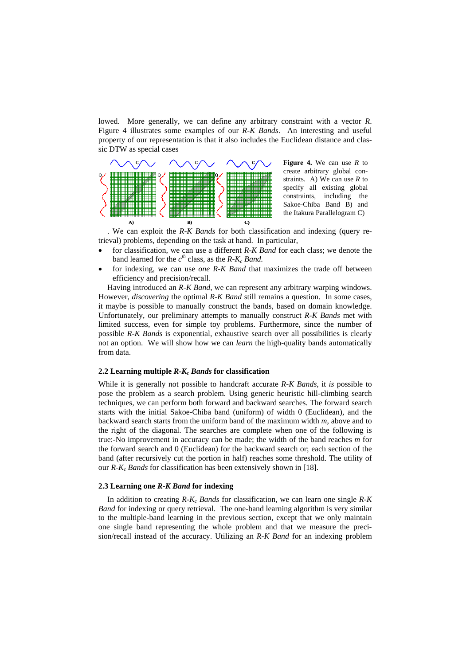lowed. More generally, we can define any arbitrary constraint with a vector *R*. [Figure 4](#page-3-0) illustrates some examples of our *R-K Bands*. An interesting and useful property of our representation is that it also includes the Euclidean distance and classic DTW as special cases



<span id="page-3-0"></span>**Figure 4.** We can use *R* to create arbitrary global constraints. A) We can use *R* to specify all existing global constraints, including the Sakoe-Chiba Band B) and the Itakura Parallelogram C)

. We can exploit the *R-K Bands* for both classification and indexing (query retrieval) problems, depending on the task at hand. In particular,

- for classification, we can use a different *R-K Band* for each class; we denote the band learned for the  $c^{th}$  class, as the  $R-K_c$  *Band.*
- for indexing, we can use *one R-K Band* that maximizes the trade off between efficiency and precision/recall.

Having introduced an *R-K Band*, we can represent any arbitrary warping windows. However, *discovering* the optimal *R-K Band* still remains a question. In some cases, it maybe is possible to manually construct the bands, based on domain knowledge. Unfortunately, our preliminary attempts to manually construct *R-K Bands* met with limited success, even for simple toy problems. Furthermore, since the number of possible *R-K Bands* is exponential, exhaustive search over all possibilities is clearly not an option. We will show how we can *learn* the high-quality bands automatically from data.

#### **2.2 Learning multiple** *R-Kc Bands* **for classification**

While it is generally not possible to handcraft accurate *R-K Bands*, it *is* possible to pose the problem as a search problem. Using generic heuristic hill-climbing search techniques, we can perform both forward and backward searches. The forward search starts with the initial Sakoe-Chiba band (uniform) of width 0 (Euclidean), and the backward search starts from the uniform band of the maximum width *m*, above and to the right of the diagonal. The searches are complete when one of the following is true:-No improvement in accuracy can be made; the width of the band reaches *m* for the forward search and 0 (Euclidean) for the backward search or; each section of the band (after recursively cut the portion in half) reaches some threshold. The utility of our *R-Kc Bands* for classification has been extensively shown in [\[18\]](#page-6-17).

#### **2.3 Learning one** *R-K Band* **for indexing**

In addition to creating  $R-K_c$  Bands for classification, we can learn one single  $R-K$ *Band* for indexing or query retrieval. The one-band learning algorithm is very similar to the multiple-band learning in the previous section, except that we only maintain one single band representing the whole problem and that we measure the precision/recall instead of the accuracy. Utilizing an *R-K Band* for an indexing problem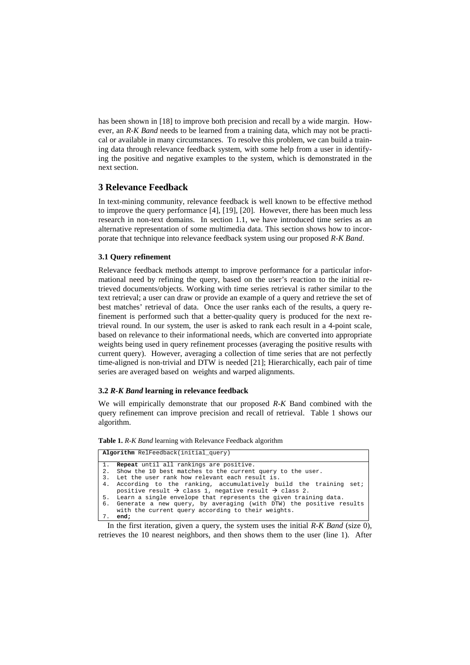has been shown in [\[18\]](#page-6-17) to improve both precision and recall by a wide margin. However, an *R-K Band* needs to be learned from a training data, which may not be practical or available in many circumstances. To resolve this problem, we can build a training data through relevance feedback system, with some help from a user in identifying the positive and negative examples to the system, which is demonstrated in the next section.

## **3 Relevance Feedback**

In text-mining community, relevance feedback is well known to be effective method to improve the query performance [\[4\]](#page-6-3), [\[19\]](#page-6-18), [\[20\]](#page-6-19). However, there has been much less research in non-text domains. In section 1.1, we have introduced time series as an alternative representation of some multimedia data. This section shows how to incorporate that technique into relevance feedback system using our proposed *R-K Band*.

#### **3.1 Query refinement**

Relevance feedback methods attempt to improve performance for a particular informational need by refining the query, based on the user's reaction to the initial retrieved documents/objects. Working with time series retrieval is rather similar to the text retrieval; a user can draw or provide an example of a query and retrieve the set of best matches' retrieval of data. Once the user ranks each of the results, a query refinement is performed such that a better-quality query is produced for the next retrieval round. In our system, the user is asked to rank each result in a 4-point scale, based on relevance to their informational needs, which are converted into appropriate weights being used in query refinement processes (averaging the positive results with current query). However, averaging a collection of time series that are not perfectly time-aligned is non-trivial and DTW is needed [\[21\]](#page-6-20); Hierarchically, each pair of time series are averaged based on weights and warped alignments.

#### **3.2** *R-K Band* **learning in relevance feedback**

We will empirically demonstrate that our proposed *R-K* Band combined with the query refinement can improve precision and recall of retrieval. [Table 1](#page-4-0) shows our algorithm.

<span id="page-4-0"></span>

|  |  |  |  |  | Table 1. R-K Band learning with Relevance Feedback algorithm |  |  |
|--|--|--|--|--|--------------------------------------------------------------|--|--|
|  |  |  |  |  |                                                              |  |  |

|  | Algorithm RelFeedback(initial_query) |
|--|--------------------------------------|

| 1.                                                                                                                           | <b>Repeat</b> until all rankings are positive.                                |  |  |  |  |
|------------------------------------------------------------------------------------------------------------------------------|-------------------------------------------------------------------------------|--|--|--|--|
| 2.                                                                                                                           | Show the 10 best matches to the current query to the user.                    |  |  |  |  |
| 3.                                                                                                                           | Let the user rank how relevant each result is.                                |  |  |  |  |
|                                                                                                                              | 4. According to the ranking, accumulatively build the training set;           |  |  |  |  |
|                                                                                                                              | positive result $\rightarrow$ class 1, negative result $\rightarrow$ class 2. |  |  |  |  |
|                                                                                                                              | 5. Learn a single envelope that represents the given training data.           |  |  |  |  |
| 6.                                                                                                                           | Generate a new query, by averaging (with DTW) the positive results            |  |  |  |  |
|                                                                                                                              | with the current query according to their weights.                            |  |  |  |  |
|                                                                                                                              | 7. end;                                                                       |  |  |  |  |
| In the first iteration, given a guerry the system uses the initial $\overline{D}$ $\overline{V}$ $\overline{D}$ and (size 0) |                                                                               |  |  |  |  |

In the first iteration, given a query, the system uses the initial *R-K Band* (size 0), retrieves the 10 nearest neighbors, and then shows them to the user (line 1). After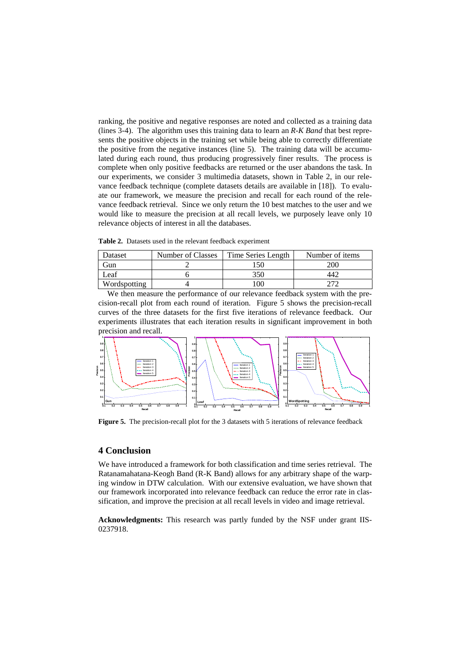ranking, the positive and negative responses are noted and collected as a training data (lines 3-4). The algorithm uses this training data to learn an *R-K Band* that best represents the positive objects in the training set while being able to correctly differentiate the positive from the negative instances (line 5). The training data will be accumulated during each round, thus producing progressively finer results. The process is complete when only positive feedbacks are returned or the user abandons the task. In our experiments, we consider 3 multimedia datasets, shown in [Table 2,](#page-5-0) in our relevance feedback technique (complete datasets details are available in [\[18\]](#page-6-17)). To evaluate our framework, we measure the precision and recall for each round of the relevance feedback retrieval. Since we only return the 10 best matches to the user and we would like to measure the precision at all recall levels, we purposely leave only 10 relevance objects of interest in all the databases.

<span id="page-5-0"></span>**Table 2.** Datasets used in the relevant feedback experiment

| Dataset      | Number of Classes | Time Series Length | Number of items |  |  |
|--------------|-------------------|--------------------|-----------------|--|--|
| .jun         |                   | 50                 | 200             |  |  |
| Leaf         |                   | 350                | :4              |  |  |
| Wordspotting |                   | ЭC                 |                 |  |  |

We then measure the performance of our relevance feedback system with the precision-recall plot from each round of iteration. [Figure 5](#page-5-1) shows the precision-recall curves of the three datasets for the first five iterations of relevance feedback. Our experiments illustrates that each iteration results in significant improvement in both precision and recall.



<span id="page-5-1"></span>**Figure 5.** The precision-recall plot for the 3 datasets with 5 iterations of relevance feedback

## **4 Conclusion**

We have introduced a framework for both classification and time series retrieval. The Ratanamahatana-Keogh Band (R-K Band) allows for any arbitrary shape of the warping window in DTW calculation. With our extensive evaluation, we have shown that our framework incorporated into relevance feedback can reduce the error rate in classification, and improve the precision at all recall levels in video and image retrieval.

**Acknowledgments:** This research was partly funded by the NSF under grant IIS-0237918.